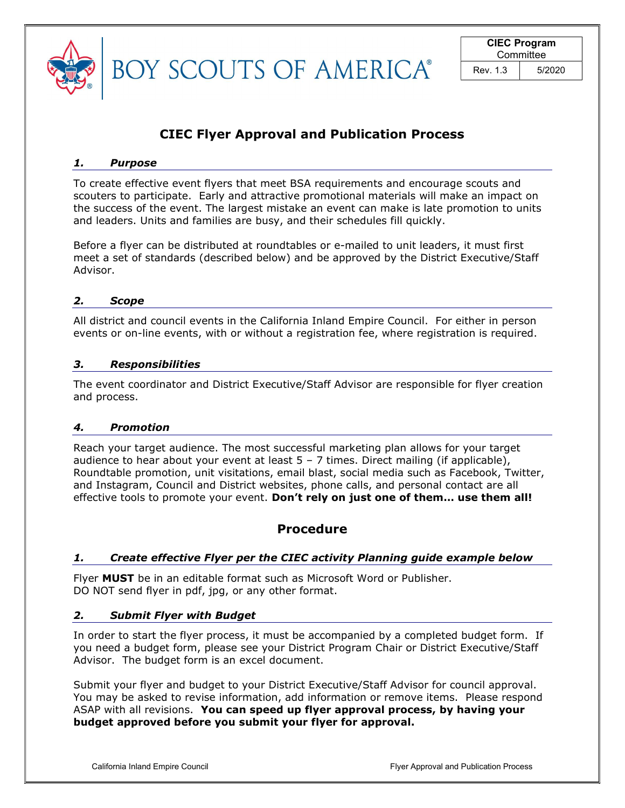

**BOY SCOUTS OF AMERICA®** 

# CIEC Flyer Approval and Publication Process

#### 1. Purpose

To create effective event flyers that meet BSA requirements and encourage scouts and scouters to participate. Early and attractive promotional materials will make an impact on the success of the event. The largest mistake an event can make is late promotion to units and leaders. Units and families are busy, and their schedules fill quickly.

Before a flyer can be distributed at roundtables or e-mailed to unit leaders, it must first meet a set of standards (described below) and be approved by the District Executive/Staff Advisor.

# 2. Scope

All district and council events in the California Inland Empire Council. For either in person events or on-line events, with or without a registration fee, where registration is required.

# 3. Responsibilities

The event coordinator and District Executive/Staff Advisor are responsible for flyer creation and process.

# 4. Promotion

Reach your target audience. The most successful marketing plan allows for your target audience to hear about your event at least  $5 - 7$  times. Direct mailing (if applicable), Roundtable promotion, unit visitations, email blast, social media such as Facebook, Twitter, and Instagram, Council and District websites, phone calls, and personal contact are all effective tools to promote your event. Don't rely on just one of them... use them all!

# Procedure

# 1. Create effective Flyer per the CIEC activity Planning guide example below

Flyer MUST be in an editable format such as Microsoft Word or Publisher. DO NOT send flyer in pdf, jpg, or any other format.

# 2. Submit Flyer with Budget

In order to start the flyer process, it must be accompanied by a completed budget form. If you need a budget form, please see your District Program Chair or District Executive/Staff Advisor. The budget form is an excel document.

Submit your flyer and budget to your District Executive/Staff Advisor for council approval. You may be asked to revise information, add information or remove items. Please respond ASAP with all revisions. You can speed up flyer approval process, by having your budget approved before you submit your flyer for approval.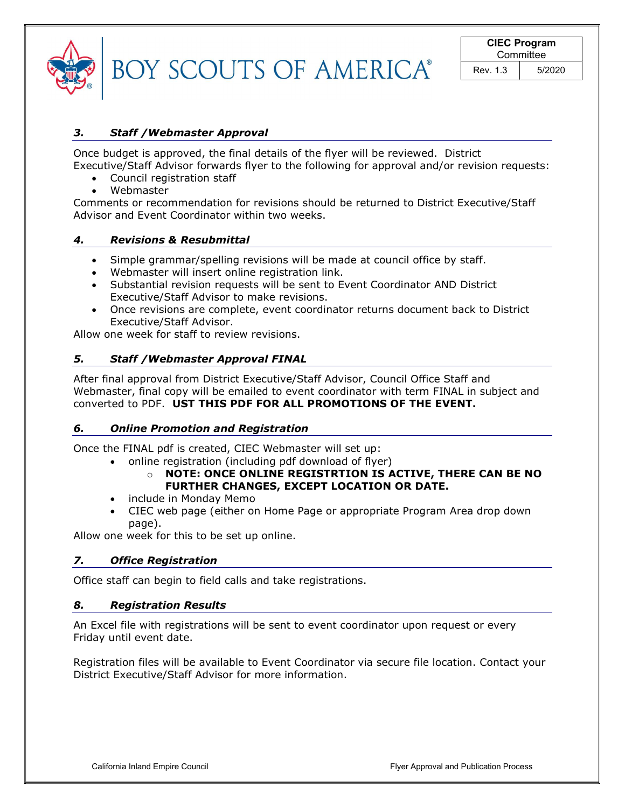| BOY SCOUTS OF AMERICA® |
|------------------------|

#### 3. Staff /Webmaster Approval

Once budget is approved, the final details of the flyer will be reviewed. District Executive/Staff Advisor forwards flyer to the following for approval and/or revision requests:

- Council registration staff
- Webmaster

Comments or recommendation for revisions should be returned to District Executive/Staff Advisor and Event Coordinator within two weeks.

#### 4. Revisions & Resubmittal

- Simple grammar/spelling revisions will be made at council office by staff.
- Webmaster will insert online registration link.
- Substantial revision requests will be sent to Event Coordinator AND District Executive/Staff Advisor to make revisions.
- Once revisions are complete, event coordinator returns document back to District Executive/Staff Advisor.

Allow one week for staff to review revisions.

#### 5. Staff /Webmaster Approval FINAL

After final approval from District Executive/Staff Advisor, Council Office Staff and Webmaster, final copy will be emailed to event coordinator with term FINAL in subject and converted to PDF. UST THIS PDF FOR ALL PROMOTIONS OF THE EVENT.

#### 6. Online Promotion and Registration

Once the FINAL pdf is created, CIEC Webmaster will set up:

- online registration (including pdf download of flyer)
	- o NOTE: ONCE ONLINE REGISTRTION IS ACTIVE, THERE CAN BE NO FURTHER CHANGES, EXCEPT LOCATION OR DATE.
- include in Monday Memo
- CIEC web page (either on Home Page or appropriate Program Area drop down page).

Allow one week for this to be set up online.

#### 7. Office Registration

Office staff can begin to field calls and take registrations.

#### 8. Registration Results

An Excel file with registrations will be sent to event coordinator upon request or every Friday until event date.

Registration files will be available to Event Coordinator via secure file location. Contact your District Executive/Staff Advisor for more information.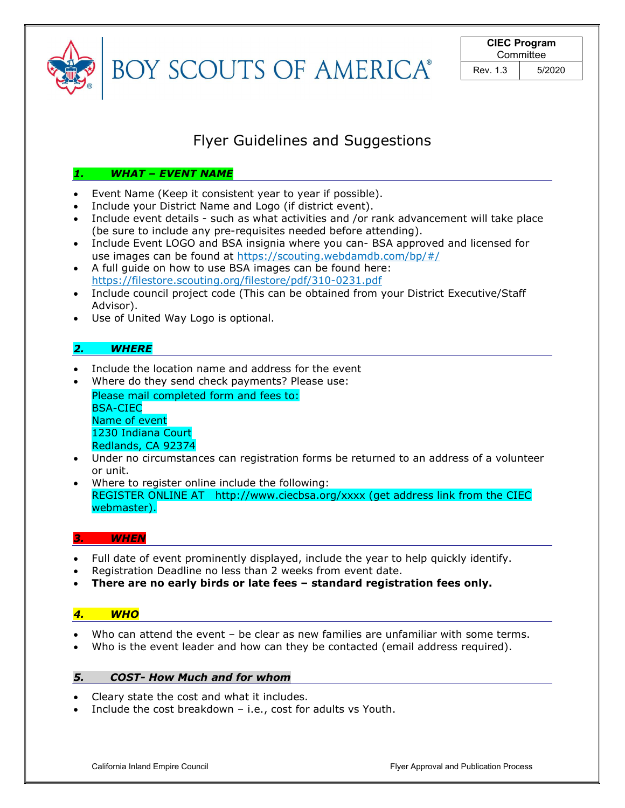

**BOY SCOUTS OF AMERICA®** 

# Flyer Guidelines and Suggestions

# 1. WHAT – EVENT NAME

- Event Name (Keep it consistent year to year if possible).
- Include your District Name and Logo (if district event).
- Include event details such as what activities and /or rank advancement will take place (be sure to include any pre-requisites needed before attending).
- Include Event LOGO and BSA insignia where you can- BSA approved and licensed for use images can be found at https://scouting.webdamdb.com/bp/#/
- A full guide on how to use BSA images can be found here: https://filestore.scouting.org/filestore/pdf/310-0231.pdf
- Include council project code (This can be obtained from your District Executive/Staff Advisor).
- Use of United Way Logo is optional.

# 2. WHERE

- Include the location name and address for the event
- Where do they send check payments? Please use: Please mail completed form and fees to: BSA-CIEC Name of event 1230 Indiana Court Redlands, CA 92374
- Under no circumstances can registration forms be returned to an address of a volunteer or unit.
- Where to register online include the following: REGISTER ONLINE AT http://www.ciecbsa.org/xxxx (get address link from the CIEC webmaster).

# **WHEN**

- Full date of event prominently displayed, include the year to help quickly identify.
- Registration Deadline no less than 2 weeks from event date.
- There are no early birds or late fees standard registration fees only.

# 4. WHO

- Who can attend the event be clear as new families are unfamiliar with some terms.
- Who is the event leader and how can they be contacted (email address required).

# 5. COST- How Much and for whom

- Cleary state the cost and what it includes.
- $\bullet$  Include the cost breakdown i.e., cost for adults vs Youth.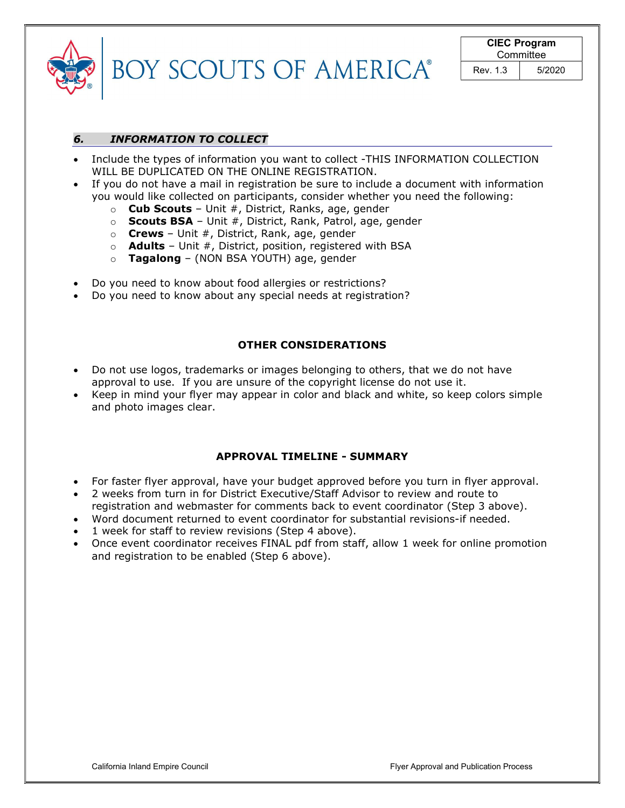| ® |  |
|---|--|

# 6. INFORMATION TO COLLECT

- Include the types of information you want to collect -THIS INFORMATION COLLECTION WILL BE DUPLICATED ON THE ONLINE REGISTRATION.
- If you do not have a mail in registration be sure to include a document with information you would like collected on participants, consider whether you need the following:
	- $\circ$  Cub Scouts Unit #, District, Ranks, age, gender
	- $\circ$  Scouts BSA Unit #, District, Rank, Patrol, age, gender
	- $\circ$  **Crews** Unit #, District, Rank, age, gender
	- $\circ$  **Adults** Unit #, District, position, registered with BSA
	- $\circ$  Tagalong (NON BSA YOUTH) age, gender
- Do you need to know about food allergies or restrictions?
- Do you need to know about any special needs at registration?

#### OTHER CONSIDERATIONS

- Do not use logos, trademarks or images belonging to others, that we do not have approval to use. If you are unsure of the copyright license do not use it.
- Keep in mind your flyer may appear in color and black and white, so keep colors simple and photo images clear.

# APPROVAL TIMELINE - SUMMARY

- For faster flyer approval, have your budget approved before you turn in flyer approval.
- 2 weeks from turn in for District Executive/Staff Advisor to review and route to
- registration and webmaster for comments back to event coordinator (Step 3 above).
- Word document returned to event coordinator for substantial revisions-if needed.
- 1 week for staff to review revisions (Step 4 above).
- Once event coordinator receives FINAL pdf from staff, allow 1 week for online promotion and registration to be enabled (Step 6 above).